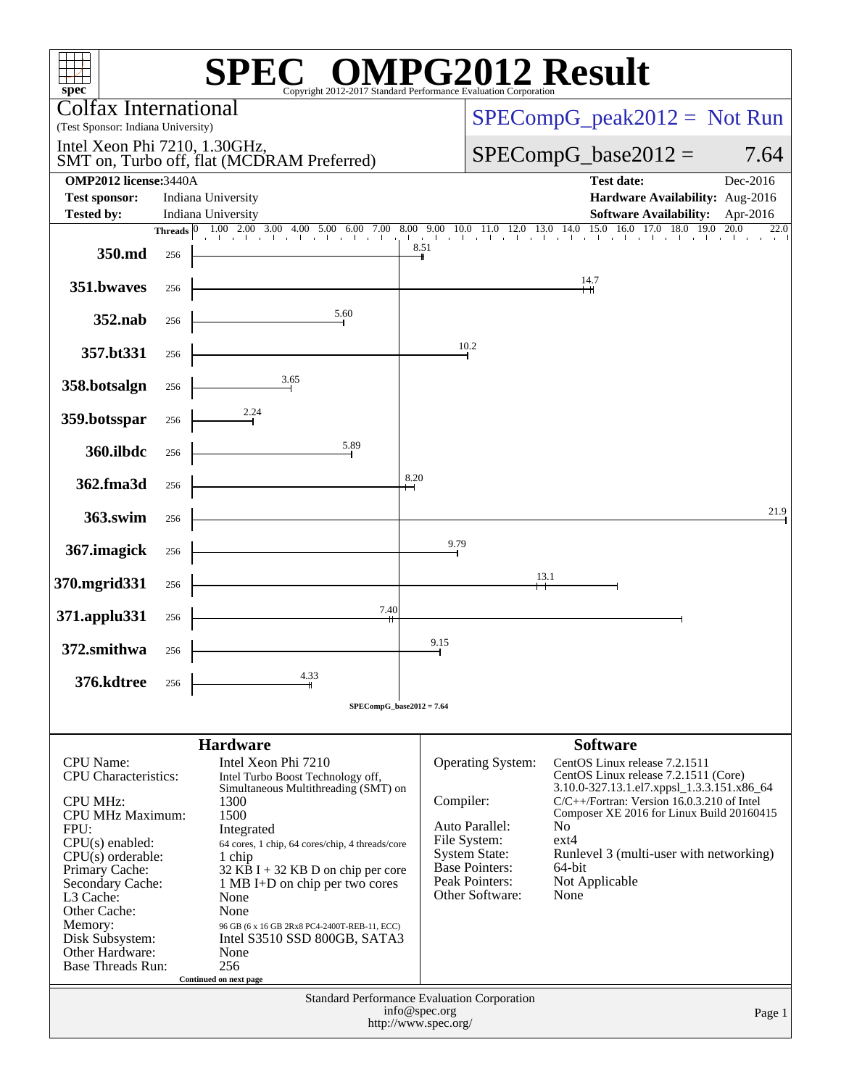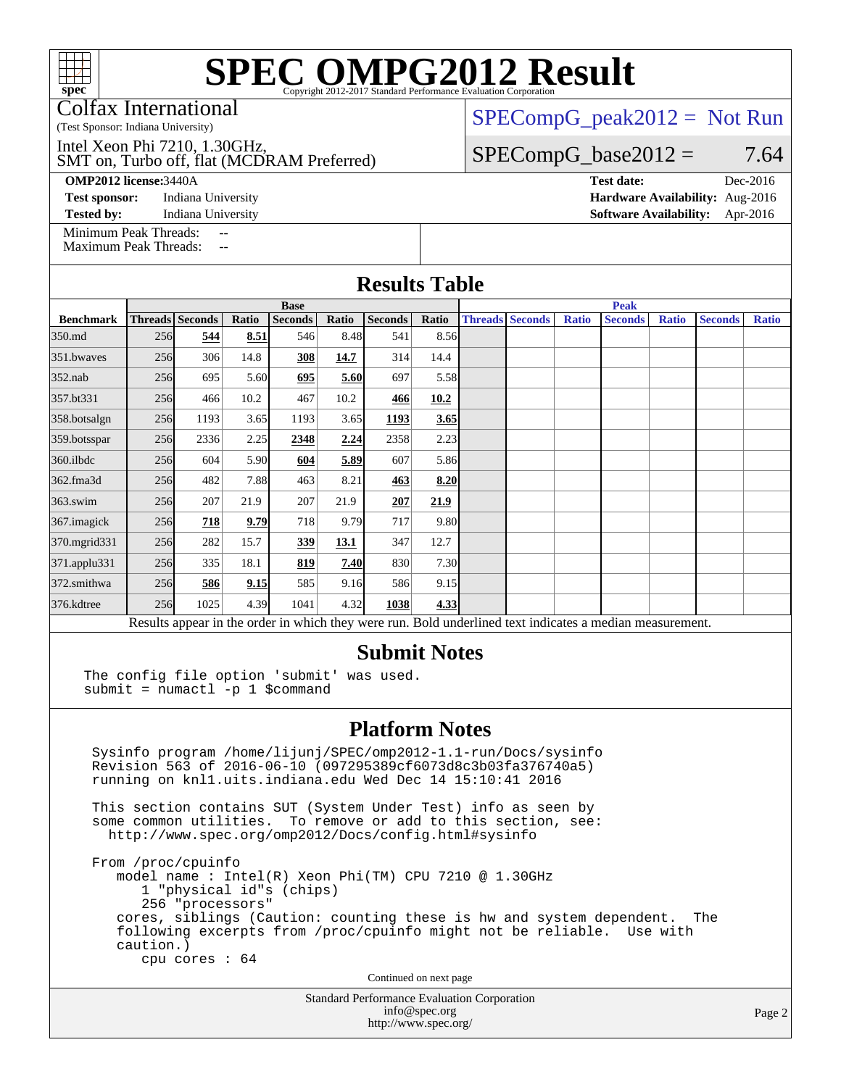Colfax International

(Test Sponsor: Indiana University)

SMT on, Turbo off, flat (MCDRAM Preferred) Intel Xeon Phi 7210, 1.30GHz,

#### **[OMP2012 license:](http://www.spec.org/auto/omp2012/Docs/result-fields.html#OMP2012license)**3440A **[Test date:](http://www.spec.org/auto/omp2012/Docs/result-fields.html#Testdate)** Dec-2016

**[Test sponsor:](http://www.spec.org/auto/omp2012/Docs/result-fields.html#Testsponsor)** Indiana University **[Hardware Availability:](http://www.spec.org/auto/omp2012/Docs/result-fields.html#HardwareAvailability)** Aug-2016

[Minimum Peak Threads:](http://www.spec.org/auto/omp2012/Docs/result-fields.html#MinimumPeakThreads)

[Maximum Peak Threads:](http://www.spec.org/auto/omp2012/Docs/result-fields.html#MaximumPeakThreads)

 $SPECompG_peak2012 = Not Run$  $SPECompG_peak2012 = Not Run$ 

### $SPECompG_base2012 = 7.64$  $SPECompG_base2012 = 7.64$

**[Tested by:](http://www.spec.org/auto/omp2012/Docs/result-fields.html#Testedby)** Indiana University **[Software Availability:](http://www.spec.org/auto/omp2012/Docs/result-fields.html#SoftwareAvailability)** Apr-2016

#### **[Results Table](http://www.spec.org/auto/omp2012/Docs/result-fields.html#ResultsTable) [Benchmark](http://www.spec.org/auto/omp2012/Docs/result-fields.html#Benchmark) [Threads](http://www.spec.org/auto/omp2012/Docs/result-fields.html#Threads) [Seconds](http://www.spec.org/auto/omp2012/Docs/result-fields.html#Seconds) [Ratio](http://www.spec.org/auto/omp2012/Docs/result-fields.html#Ratio) [Seconds](http://www.spec.org/auto/omp2012/Docs/result-fields.html#Seconds) [Ratio](http://www.spec.org/auto/omp2012/Docs/result-fields.html#Ratio) [Seconds](http://www.spec.org/auto/omp2012/Docs/result-fields.html#Seconds) [Ratio](http://www.spec.org/auto/omp2012/Docs/result-fields.html#Ratio) Base [Threads](http://www.spec.org/auto/omp2012/Docs/result-fields.html#Threads) [Seconds](http://www.spec.org/auto/omp2012/Docs/result-fields.html#Seconds) [Ratio](http://www.spec.org/auto/omp2012/Docs/result-fields.html#Ratio) [Seconds](http://www.spec.org/auto/omp2012/Docs/result-fields.html#Seconds) [Ratio](http://www.spec.org/auto/omp2012/Docs/result-fields.html#Ratio) [Seconds](http://www.spec.org/auto/omp2012/Docs/result-fields.html#Seconds) [Ratio](http://www.spec.org/auto/omp2012/Docs/result-fields.html#Ratio) Peak** [350.md](http://www.spec.org/auto/omp2012/Docs/350.md.html) 256 **[544](http://www.spec.org/auto/omp2012/Docs/result-fields.html#Median) [8.51](http://www.spec.org/auto/omp2012/Docs/result-fields.html#Median)** 546 8.48 541 8.56 [351.bwaves](http://www.spec.org/auto/omp2012/Docs/351.bwaves.html) 256 306 14.8 **[308](http://www.spec.org/auto/omp2012/Docs/result-fields.html#Median) [14.7](http://www.spec.org/auto/omp2012/Docs/result-fields.html#Median)** 314 14.4 [352.nab](http://www.spec.org/auto/omp2012/Docs/352.nab.html) 256 695 5.60 **[695](http://www.spec.org/auto/omp2012/Docs/result-fields.html#Median) [5.60](http://www.spec.org/auto/omp2012/Docs/result-fields.html#Median)** 697 5.58 [357.bt331](http://www.spec.org/auto/omp2012/Docs/357.bt331.html) 256 466 10.2 467 10.2 **[466](http://www.spec.org/auto/omp2012/Docs/result-fields.html#Median) [10.2](http://www.spec.org/auto/omp2012/Docs/result-fields.html#Median)** [358.botsalgn](http://www.spec.org/auto/omp2012/Docs/358.botsalgn.html) 256 1193 3.65 1193 3.65 **[1193](http://www.spec.org/auto/omp2012/Docs/result-fields.html#Median) [3.65](http://www.spec.org/auto/omp2012/Docs/result-fields.html#Median)** [359.botsspar](http://www.spec.org/auto/omp2012/Docs/359.botsspar.html) 256 2336 2.25 **[2348](http://www.spec.org/auto/omp2012/Docs/result-fields.html#Median) [2.24](http://www.spec.org/auto/omp2012/Docs/result-fields.html#Median)** 2358 2.23 [360.ilbdc](http://www.spec.org/auto/omp2012/Docs/360.ilbdc.html) 256 604 5.90 **[604](http://www.spec.org/auto/omp2012/Docs/result-fields.html#Median) [5.89](http://www.spec.org/auto/omp2012/Docs/result-fields.html#Median)** 607 5.86 [362.fma3d](http://www.spec.org/auto/omp2012/Docs/362.fma3d.html) 256 482 7.88 463 8.21 **[463](http://www.spec.org/auto/omp2012/Docs/result-fields.html#Median) [8.20](http://www.spec.org/auto/omp2012/Docs/result-fields.html#Median)** [363.swim](http://www.spec.org/auto/omp2012/Docs/363.swim.html) 256 207 21.9 207 21.9 **[207](http://www.spec.org/auto/omp2012/Docs/result-fields.html#Median) [21.9](http://www.spec.org/auto/omp2012/Docs/result-fields.html#Median)** [367.imagick](http://www.spec.org/auto/omp2012/Docs/367.imagick.html) 256 **[718](http://www.spec.org/auto/omp2012/Docs/result-fields.html#Median) [9.79](http://www.spec.org/auto/omp2012/Docs/result-fields.html#Median)** 718 9.79 717 9.80 [370.mgrid331](http://www.spec.org/auto/omp2012/Docs/370.mgrid331.html) 256 282 15.7 **[339](http://www.spec.org/auto/omp2012/Docs/result-fields.html#Median) [13.1](http://www.spec.org/auto/omp2012/Docs/result-fields.html#Median)** 347 12.7 [371.applu331](http://www.spec.org/auto/omp2012/Docs/371.applu331.html) 256 335 18.1 **[819](http://www.spec.org/auto/omp2012/Docs/result-fields.html#Median) [7.40](http://www.spec.org/auto/omp2012/Docs/result-fields.html#Median)** 830 7.30 [372.smithwa](http://www.spec.org/auto/omp2012/Docs/372.smithwa.html) 256 **[586](http://www.spec.org/auto/omp2012/Docs/result-fields.html#Median) [9.15](http://www.spec.org/auto/omp2012/Docs/result-fields.html#Median)** 585 9.16 586 9.15 [376.kdtree](http://www.spec.org/auto/omp2012/Docs/376.kdtree.html) 256 1025 4.39 1041 4.32 **[1038](http://www.spec.org/auto/omp2012/Docs/result-fields.html#Median) [4.33](http://www.spec.org/auto/omp2012/Docs/result-fields.html#Median)** Results appear in the [order in which they were run.](http://www.spec.org/auto/omp2012/Docs/result-fields.html#RunOrder) Bold underlined text [indicates a median measurement.](http://www.spec.org/auto/omp2012/Docs/result-fields.html#Median) **[Submit Notes](http://www.spec.org/auto/omp2012/Docs/result-fields.html#SubmitNotes)**

The config file option 'submit' was used. submit = numactl -p 1 \$command

#### **[Platform Notes](http://www.spec.org/auto/omp2012/Docs/result-fields.html#PlatformNotes)**

 Sysinfo program /home/lijunj/SPEC/omp2012-1.1-run/Docs/sysinfo Revision 563 of 2016-06-10 (097295389cf6073d8c3b03fa376740a5) running on knl1.uits.indiana.edu Wed Dec 14 15:10:41 2016

 This section contains SUT (System Under Test) info as seen by some common utilities. To remove or add to this section, see: <http://www.spec.org/omp2012/Docs/config.html#sysinfo>

 From /proc/cpuinfo model name : Intel(R) Xeon Phi(TM) CPU 7210 @ 1.30GHz 1 "physical id"s (chips) 256 "processors" cores, siblings (Caution: counting these is hw and system dependent. The following excerpts from /proc/cpuinfo might not be reliable. Use with caution.) cpu cores : 64

Continued on next page

Standard Performance Evaluation Corporation [info@spec.org](mailto:info@spec.org) <http://www.spec.org/>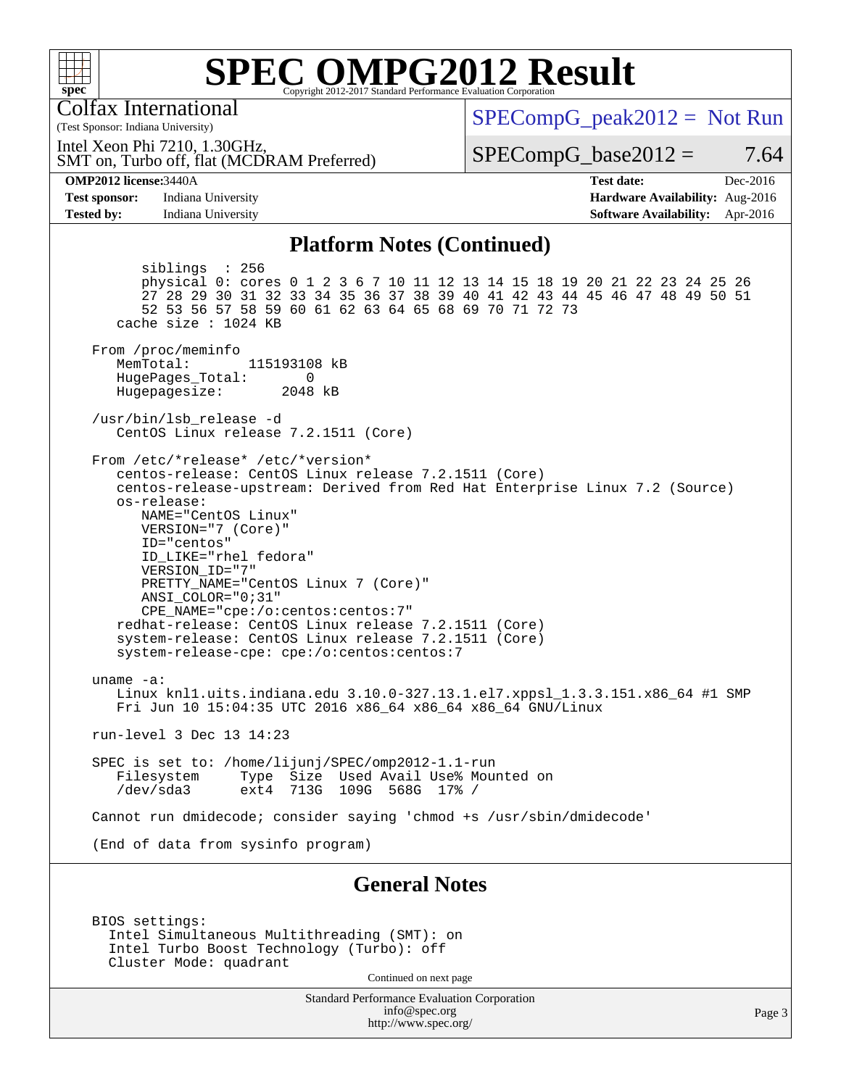

Colfax International

**[Test sponsor:](http://www.spec.org/auto/omp2012/Docs/result-fields.html#Testsponsor)** Indiana University **[Tested by:](http://www.spec.org/auto/omp2012/Docs/result-fields.html#Testedby)** Indiana University

(Test Sponsor: Indiana University)

**[OMP2012 license:](http://www.spec.org/auto/omp2012/Docs/result-fields.html#OMP2012license)** 3440A

 $SPECompG_peak2012 = Not Run$  $SPECompG_peak2012 = Not Run$ 

SMT on, Turbo off, flat (MCDRAM Preferred) Intel Xeon Phi 7210, 1.30GHz,

 $SPECompG_base2012 = 7.64$  $SPECompG_base2012 = 7.64$ 

| <b>Test date:</b>                      | Dec-2016 |
|----------------------------------------|----------|
| <b>Hardware Availability:</b> Aug-2016 |          |
| <b>Software Availability:</b> Apr-2016 |          |

#### **[Platform Notes \(Continued\)](http://www.spec.org/auto/omp2012/Docs/result-fields.html#PlatformNotes)**

 siblings : 256 physical 0: cores 0 1 2 3 6 7 10 11 12 13 14 15 18 19 20 21 22 23 24 25 26 27 28 29 30 31 32 33 34 35 36 37 38 39 40 41 42 43 44 45 46 47 48 49 50 51 52 53 56 57 58 59 60 61 62 63 64 65 68 69 70 71 72 73 cache size : 1024 KB From /proc/meminfo MemTotal: 115193108 kB HugePages\_Total: 0<br>Hugepagesize: 2048 kB Hugepagesize: /usr/bin/lsb\_release -d CentOS Linux release 7.2.1511 (Core) From /etc/\*release\* /etc/\*version\* centos-release: CentOS Linux release 7.2.1511 (Core) centos-release-upstream: Derived from Red Hat Enterprise Linux 7.2 (Source) os-release: NAME="CentOS Linux" VERSION="7 (Core)" ID="centos" ID\_LIKE="rhel fedora" VERSION\_ID="7" PRETTY\_NAME="CentOS Linux 7 (Core)" ANSI\_COLOR="0;31" CPE\_NAME="cpe:/o:centos:centos:7" redhat-release: CentOS Linux release 7.2.1511 (Core) system-release: CentOS Linux release 7.2.1511 (Core) system-release-cpe: cpe:/o:centos:centos:7 uname -a: Linux knl1.uits.indiana.edu 3.10.0-327.13.1.el7.xppsl\_1.3.3.151.x86\_64 #1 SMP Fri Jun 10 15:04:35 UTC 2016 x86\_64 x86\_64 x86\_64 GNU/Linux run-level 3 Dec 13 14:23 SPEC is set to: /home/lijunj/SPEC/omp2012-1.1-run Filesystem Type Size Used Avail Use% Mounted on<br>/dev/sda3 ext4 713G 109G 568G 17% / 713G 109G 568G 17% / Cannot run dmidecode; consider saying 'chmod +s /usr/sbin/dmidecode' (End of data from sysinfo program) **[General Notes](http://www.spec.org/auto/omp2012/Docs/result-fields.html#GeneralNotes)**

 BIOS settings: Intel Simultaneous Multithreading (SMT): on Intel Turbo Boost Technology (Turbo): off Cluster Mode: quadrant

Continued on next page

Standard Performance Evaluation Corporation [info@spec.org](mailto:info@spec.org) <http://www.spec.org/>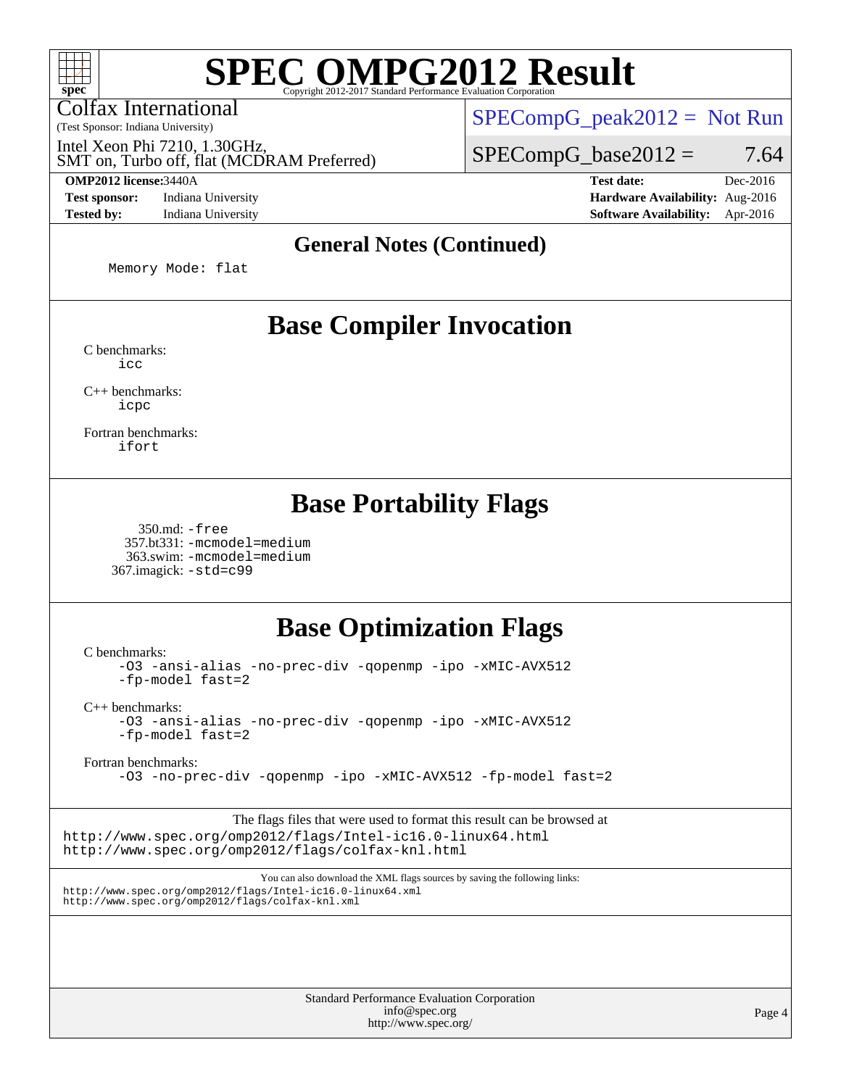Colfax International

(Test Sponsor: Indiana University)

Intel Xeon Phi 7210, 1.30GHz,

SMT on, Turbo off, flat (MCDRAM Preferred)

 $SPECompG_peak2012 = Not Run$  $SPECompG_peak2012 = Not Run$ 

 $SPECompG_base2012 = 7.64$  $SPECompG_base2012 = 7.64$ 

**[OMP2012 license:](http://www.spec.org/auto/omp2012/Docs/result-fields.html#OMP2012license)**3440A **[Test date:](http://www.spec.org/auto/omp2012/Docs/result-fields.html#Testdate)** Dec-2016 **[Test sponsor:](http://www.spec.org/auto/omp2012/Docs/result-fields.html#Testsponsor)** Indiana University **[Hardware Availability:](http://www.spec.org/auto/omp2012/Docs/result-fields.html#HardwareAvailability)** Aug-2016 **[Tested by:](http://www.spec.org/auto/omp2012/Docs/result-fields.html#Testedby)** Indiana University **[Software Availability:](http://www.spec.org/auto/omp2012/Docs/result-fields.html#SoftwareAvailability)** Apr-2016

#### **[General Notes \(Continued\)](http://www.spec.org/auto/omp2012/Docs/result-fields.html#GeneralNotes)**

Memory Mode: flat

### **[Base Compiler Invocation](http://www.spec.org/auto/omp2012/Docs/result-fields.html#BaseCompilerInvocation)**

[C benchmarks](http://www.spec.org/auto/omp2012/Docs/result-fields.html#Cbenchmarks): [icc](http://www.spec.org/omp2012/results/res2017q1/omp2012-20161215-00090.flags.html#user_CCbase_intel_icc_a87c68a857bc5ec5362391a49d3a37a6)

[C++ benchmarks:](http://www.spec.org/auto/omp2012/Docs/result-fields.html#CXXbenchmarks) [icpc](http://www.spec.org/omp2012/results/res2017q1/omp2012-20161215-00090.flags.html#user_CXXbase_intel_icpc_2d899f8d163502b12eb4a60069f80c1c)

[Fortran benchmarks](http://www.spec.org/auto/omp2012/Docs/result-fields.html#Fortranbenchmarks): [ifort](http://www.spec.org/omp2012/results/res2017q1/omp2012-20161215-00090.flags.html#user_FCbase_intel_ifort_8a5e5e06b19a251bdeaf8fdab5d62f20)

### **[Base Portability Flags](http://www.spec.org/auto/omp2012/Docs/result-fields.html#BasePortabilityFlags)**

 350.md: [-free](http://www.spec.org/omp2012/results/res2017q1/omp2012-20161215-00090.flags.html#user_baseFPORTABILITY350_md_f-FR_e51be0673775d2012b3310fa5323f530) 357.bt331: [-mcmodel=medium](http://www.spec.org/omp2012/results/res2017q1/omp2012-20161215-00090.flags.html#user_baseFPORTABILITY357_bt331_f-mcmodel_3a41622424bdd074c4f0f2d2f224c7e5) 363.swim: [-mcmodel=medium](http://www.spec.org/omp2012/results/res2017q1/omp2012-20161215-00090.flags.html#user_baseFPORTABILITY363_swim_f-mcmodel_3a41622424bdd074c4f0f2d2f224c7e5) 367.imagick: [-std=c99](http://www.spec.org/omp2012/results/res2017q1/omp2012-20161215-00090.flags.html#user_baseCPORTABILITY367_imagick_f-std_2ec6533b6e06f1c4a6c9b78d9e9cde24)

## **[Base Optimization Flags](http://www.spec.org/auto/omp2012/Docs/result-fields.html#BaseOptimizationFlags)**

[C benchmarks](http://www.spec.org/auto/omp2012/Docs/result-fields.html#Cbenchmarks):

[-O3](http://www.spec.org/omp2012/results/res2017q1/omp2012-20161215-00090.flags.html#user_CCbase_f-O3) [-ansi-alias](http://www.spec.org/omp2012/results/res2017q1/omp2012-20161215-00090.flags.html#user_CCbase_f-ansi-alias) [-no-prec-div](http://www.spec.org/omp2012/results/res2017q1/omp2012-20161215-00090.flags.html#user_CCbase_f-no-prec-div) [-qopenmp](http://www.spec.org/omp2012/results/res2017q1/omp2012-20161215-00090.flags.html#user_CCbase_f-qopenmp) [-ipo](http://www.spec.org/omp2012/results/res2017q1/omp2012-20161215-00090.flags.html#user_CCbase_f-ipo) [-xMIC-AVX512](http://www.spec.org/omp2012/results/res2017q1/omp2012-20161215-00090.flags.html#user_CCbase_f-xMIC-AVX512) [-fp-model fast=2](http://www.spec.org/omp2012/results/res2017q1/omp2012-20161215-00090.flags.html#user_CCbase_f-fp-model_a7fb8ccb7275e23f0079632c153cfcab)

[C++ benchmarks:](http://www.spec.org/auto/omp2012/Docs/result-fields.html#CXXbenchmarks)

[-O3](http://www.spec.org/omp2012/results/res2017q1/omp2012-20161215-00090.flags.html#user_CXXbase_f-O3) [-ansi-alias](http://www.spec.org/omp2012/results/res2017q1/omp2012-20161215-00090.flags.html#user_CXXbase_f-ansi-alias) [-no-prec-div](http://www.spec.org/omp2012/results/res2017q1/omp2012-20161215-00090.flags.html#user_CXXbase_f-no-prec-div) [-qopenmp](http://www.spec.org/omp2012/results/res2017q1/omp2012-20161215-00090.flags.html#user_CXXbase_f-qopenmp) [-ipo](http://www.spec.org/omp2012/results/res2017q1/omp2012-20161215-00090.flags.html#user_CXXbase_f-ipo) [-xMIC-AVX512](http://www.spec.org/omp2012/results/res2017q1/omp2012-20161215-00090.flags.html#user_CXXbase_f-xMIC-AVX512) [-fp-model fast=2](http://www.spec.org/omp2012/results/res2017q1/omp2012-20161215-00090.flags.html#user_CXXbase_f-fp-model_a7fb8ccb7275e23f0079632c153cfcab)

[Fortran benchmarks](http://www.spec.org/auto/omp2012/Docs/result-fields.html#Fortranbenchmarks):

[-O3](http://www.spec.org/omp2012/results/res2017q1/omp2012-20161215-00090.flags.html#user_FCbase_f-O3) [-no-prec-div](http://www.spec.org/omp2012/results/res2017q1/omp2012-20161215-00090.flags.html#user_FCbase_f-no-prec-div) [-qopenmp](http://www.spec.org/omp2012/results/res2017q1/omp2012-20161215-00090.flags.html#user_FCbase_f-qopenmp) [-ipo](http://www.spec.org/omp2012/results/res2017q1/omp2012-20161215-00090.flags.html#user_FCbase_f-ipo) [-xMIC-AVX512](http://www.spec.org/omp2012/results/res2017q1/omp2012-20161215-00090.flags.html#user_FCbase_f-xMIC-AVX512) [-fp-model fast=2](http://www.spec.org/omp2012/results/res2017q1/omp2012-20161215-00090.flags.html#user_FCbase_f-fp-model_a7fb8ccb7275e23f0079632c153cfcab)

The flags files that were used to format this result can be browsed at <http://www.spec.org/omp2012/flags/Intel-ic16.0-linux64.html> <http://www.spec.org/omp2012/flags/colfax-knl.html>

You can also download the XML flags sources by saving the following links: <http://www.spec.org/omp2012/flags/Intel-ic16.0-linux64.xml> <http://www.spec.org/omp2012/flags/colfax-knl.xml>

> Standard Performance Evaluation Corporation [info@spec.org](mailto:info@spec.org) <http://www.spec.org/>

Page 4